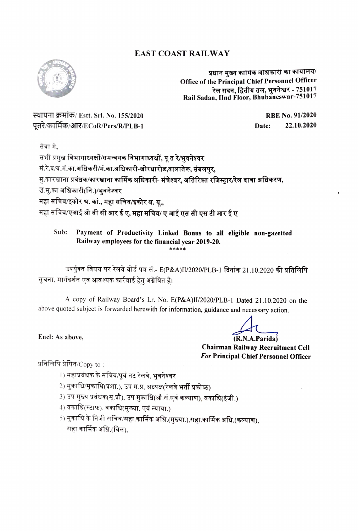## EAST COAST RAILWAY



प्रधान मुख्य कामिक आधकारी का कार्यालय/ Office of the Principal Chief Personnel Officer<br>रेल सदन, द्वितीय तल, भुवनेश्वर - 751017<br>Rail Sadan, Hnd Floor, Bhubaneswar-751017 Rail Sadan, IInd Floor, Bhubaneswar-751017

RTYH 4TE Est. Sr. No. 155/2020 RBE No. 91/2020 पूतरे/कार्मिक/आर/ECoR/Pers/R/PLB-1 Date: 22.10.2020

सेवा मे,<br>सभी प्रमुख विभागाध्यक्षों/<mark>समन्वयक विभागाध्यक्षों, पू त रे/भ्**वनेश्व**र</mark> मं.रे.प्र/व.मं.का.अधिकरी/मं.का.अधिकारी-खोरधारोड,वालातेरू, संबलपुर, मु.कारखाना प्रबंधक/कारखाना कार्मिक अधिकारी- मंचेश्वर, अतिरिक्त रजिस्ट्रार/रेल दावा अधिकरण, उ.मु.का अधिकारी(नि.)/भुवनेश्वर महा सचिव/इकोर श्र. कां., महा सचिव/इकोर श्र. यू., महा सचिव/एआई ओ बी सी आर ई ए, महा सचिव/ ए आई एस सी एस टी आर ई ए

Sub: Payment of Productivity Linked Bonus to all eligible non-gazetted Railway employees for the financial year 2019-20.

उपर्युक्त विषय पर रेलवे बोर्ड पत्र सं.- E(P&A)II/2020/PLB-1 दिनांक 21.10.2020 की प्रतिलिपि<br>सूचना, मार्गदर्शन एवं आवश्यक कार्रवाई हेतु अग्रेषित है।

A copy of Railway Board's Lr. No. E(P&A}I/2020/PLB-1 Dated 21.10.2020 on the above quoted subject is forwarded herewith for information, guidance and necessary action.

(R.N.A.Parida) Chairman Railway Recruitment Cell For Principal Chief Personnel Officer

प्रतिलिपि प्रेषित/ $\mathsf{Cop}_{\mathsf{V}}$  to :

Encl: As above,

- l) महाप्रवंधक के सचिव/पूर्व तट रेलवे, भुवनेश्वर
- 2) मुकाधि/मुकाधि(प्रशा.), उप म.प्र, अध्यक्ष(रेलवे भर्ती प्रकोष्ठ)
- 3) उप मुख्य प्रवंधक(मू.प्रौ), उप मुकाधि(औ.सं.एवं कल्याण), वकाधि(इंजी.)
- 4) वकाधि(स्टाफ), वकाधि(मुख्या. एवं न्याया.)
- 5) मुकाधि के निजी सचिव/सहा.कार्मिक अधि.(मुख्या.),सहा.कार्मिक अधि.(कल्याण), महा.कार्मिक अधि.(बिल).